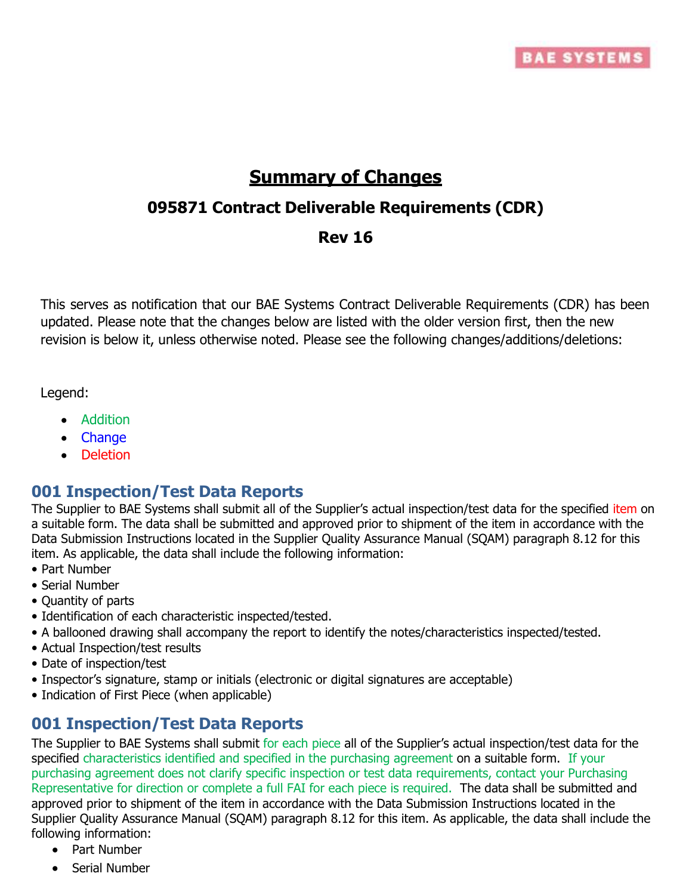

# **Summary of Changes**

## **095871 Contract Deliverable Requirements (CDR)**

## **Rev 16**

This serves as notification that our BAE Systems Contract Deliverable Requirements (CDR) has been updated. Please note that the changes below are listed with the older version first, then the new revision is below it, unless otherwise noted. Please see the following changes/additions/deletions:

Legend:

- Addition
- Change
- Deletion

## **001 Inspection/Test Data Reports**

The Supplier to BAE Systems shall submit all of the Supplier's actual inspection/test data for the specified item on a suitable form. The data shall be submitted and approved prior to shipment of the item in accordance with the Data Submission Instructions located in the Supplier Quality Assurance Manual (SQAM) paragraph 8.12 for this item. As applicable, the data shall include the following information:

- Part Number
- Serial Number
- Quantity of parts
- Identification of each characteristic inspected/tested.
- A ballooned drawing shall accompany the report to identify the notes/characteristics inspected/tested.
- Actual Inspection/test results
- Date of inspection/test
- Inspector's signature, stamp or initials (electronic or digital signatures are acceptable)
- Indication of First Piece (when applicable)

## **001 Inspection/Test Data Reports**

The Supplier to BAE Systems shall submit for each piece all of the Supplier's actual inspection/test data for the specified characteristics identified and specified in the purchasing agreement on a suitable form. If your purchasing agreement does not clarify specific inspection or test data requirements, contact your Purchasing Representative for direction or complete a full FAI for each piece is required. The data shall be submitted and approved prior to shipment of the item in accordance with the Data Submission Instructions located in the Supplier Quality Assurance Manual (SQAM) paragraph 8.12 for this item. As applicable, the data shall include the following information:

- Part Number
- Serial Number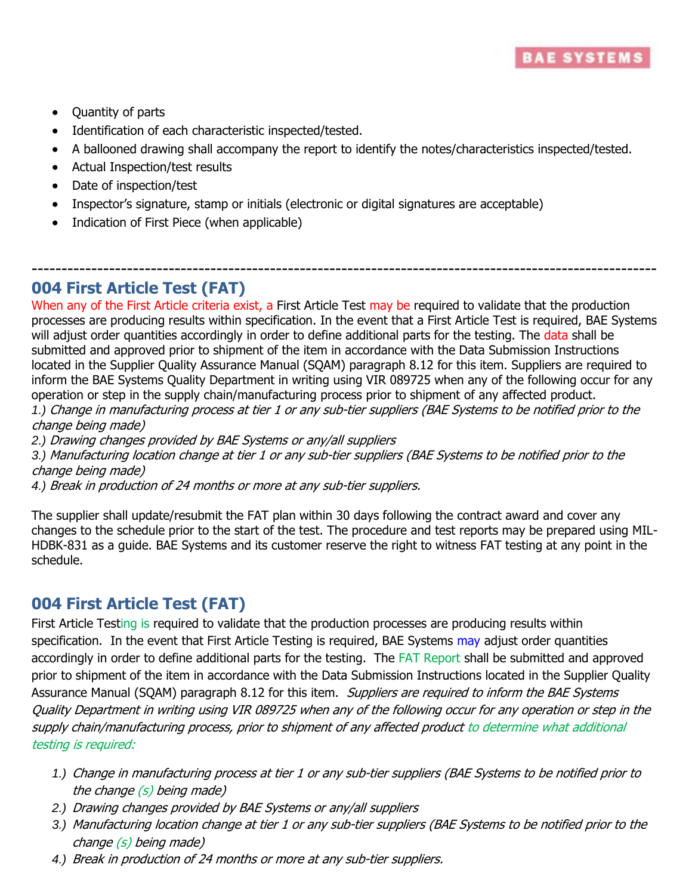

- Quantity of parts
- Identification of each characteristic inspected/tested.
- A ballooned drawing shall accompany the report to identify the notes/characteristics inspected/tested.
- Actual Inspection/test results
- Date of inspection/test
- Inspector's signature, stamp or initials (electronic or digital signatures are acceptable)
- Indication of First Piece (when applicable)

## **004 First Article Test (FAT)**

When any of the First Article criteria exist, a First Article Test may be required to validate that the production processes are producing results within specification. In the event that a First Article Test is required, BAE Systems will adjust order quantities accordingly in order to define additional parts for the testing. The data shall be submitted and approved prior to shipment of the item in accordance with the Data Submission Instructions located in the Supplier Quality Assurance Manual (SQAM) paragraph 8.12 for this item. Suppliers are required to inform the BAE Systems Quality Department in writing using VIR 089725 when any of the following occur for any operation or step in the supply chain/manufacturing process prior to shipment of any affected product. *1.)* Change in manufacturing process at tier 1 or any sub-tier suppliers (BAE Systems to be notified prior to the change being made)

---------------------------------------------------------------------------------------------------------

*2.)* Drawing changes provided by BAE Systems or any/all suppliers

*3.)* Manufacturing location change at tier 1 or any sub-tier suppliers (BAE Systems to be notified prior to the change being made)

*4.)* Break in production of 24 months or more at any sub-tier suppliers.

The supplier shall update/resubmit the FAT plan within 30 days following the contract award and cover any changes to the schedule prior to the start of the test. The procedure and test reports may be prepared using MIL-HDBK-831 as a guide. BAE Systems and its customer reserve the right to witness FAT testing at any point in the schedule.

## **004 First Article Test (FAT)**

First Article Testing is required to validate that the production processes are producing results within specification. In the event that First Article Testing is required, BAE Systems may adjust order quantities accordingly in order to define additional parts for the testing. The FAT Report shall be submitted and approved prior to shipment of the item in accordance with the Data Submission Instructions located in the Supplier Quality Assurance Manual (SQAM) paragraph 8.12 for this item. *Suppliers are required to inform the BAE Systems* Quality Department in writing using VIR 089725 when any of the following occur for any operation or step in the supply chain/manufacturing process, prior to shipment of any affected product to determine what additional testing is required:

- *1.)* Change in manufacturing process at tier 1 or any sub-tier suppliers (BAE Systems to be notified prior to the change (s) being made)
- *2.)* Drawing changes provided by BAE Systems or any/all suppliers
- *3.)* Manufacturing location change at tier 1 or any sub-tier suppliers (BAE Systems to be notified prior to the change (s) being made)
- *4.)* Break in production of 24 months or more at any sub-tier suppliers.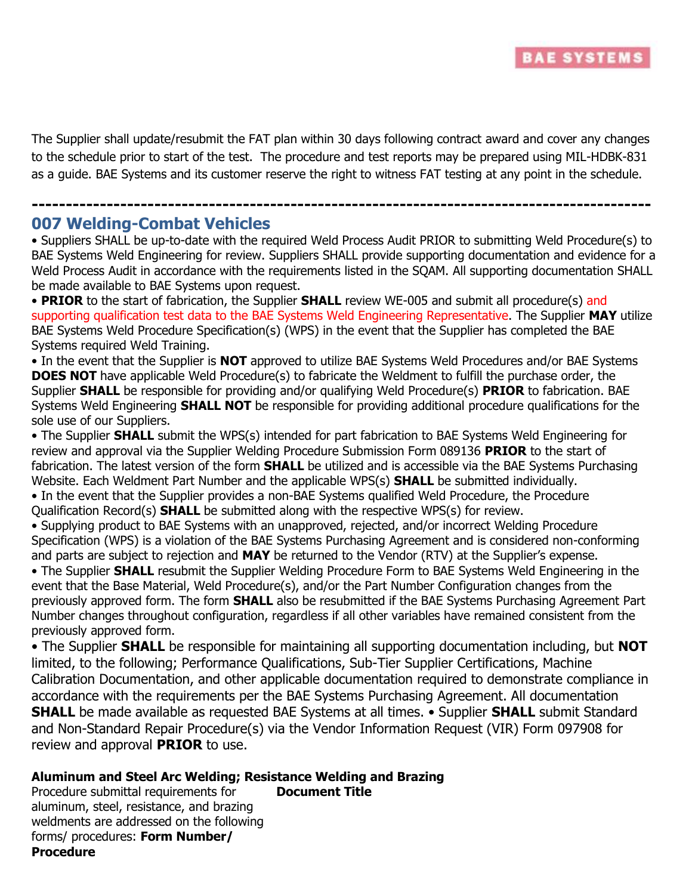

The Supplier shall update/resubmit the FAT plan within 30 days following contract award and cover any changes to the schedule prior to start of the test. The procedure and test reports may be prepared using MIL-HDBK-831 as a guide. BAE Systems and its customer reserve the right to witness FAT testing at any point in the schedule.

**-------------------------------------------------------------------------------------------**

## **007 Welding-Combat Vehicles**

• Suppliers SHALL be up-to-date with the required Weld Process Audit PRIOR to submitting Weld Procedure(s) to BAE Systems Weld Engineering for review. Suppliers SHALL provide supporting documentation and evidence for a Weld Process Audit in accordance with the requirements listed in the SQAM. All supporting documentation SHALL be made available to BAE Systems upon request.

• **PRIOR** to the start of fabrication, the Supplier **SHALL** review WE-005 and submit all procedure(s) and supporting qualification test data to the BAE Systems Weld Engineering Representative. The Supplier **MAY** utilize BAE Systems Weld Procedure Specification(s) (WPS) in the event that the Supplier has completed the BAE Systems required Weld Training.

• In the event that the Supplier is **NOT** approved to utilize BAE Systems Weld Procedures and/or BAE Systems **DOES NOT** have applicable Weld Procedure(s) to fabricate the Weldment to fulfill the purchase order, the Supplier **SHALL** be responsible for providing and/or qualifying Weld Procedure(s) **PRIOR** to fabrication. BAE Systems Weld Engineering **SHALL NOT** be responsible for providing additional procedure qualifications for the sole use of our Suppliers.

• The Supplier **SHALL** submit the WPS(s) intended for part fabrication to BAE Systems Weld Engineering for review and approval via the Supplier Welding Procedure Submission Form 089136 **PRIOR** to the start of fabrication. The latest version of the form **SHALL** be utilized and is accessible via the BAE Systems Purchasing Website. Each Weldment Part Number and the applicable WPS(s) **SHALL** be submitted individually.

• In the event that the Supplier provides a non-BAE Systems qualified Weld Procedure, the Procedure Qualification Record(s) **SHALL** be submitted along with the respective WPS(s) for review.

• Supplying product to BAE Systems with an unapproved, rejected, and/or incorrect Welding Procedure Specification (WPS) is a violation of the BAE Systems Purchasing Agreement and is considered non-conforming and parts are subject to rejection and **MAY** be returned to the Vendor (RTV) at the Supplier's expense.

• The Supplier **SHALL** resubmit the Supplier Welding Procedure Form to BAE Systems Weld Engineering in the event that the Base Material, Weld Procedure(s), and/or the Part Number Configuration changes from the previously approved form. The form **SHALL** also be resubmitted if the BAE Systems Purchasing Agreement Part Number changes throughout configuration, regardless if all other variables have remained consistent from the previously approved form.

• The Supplier **SHALL** be responsible for maintaining all supporting documentation including, but **NOT**  limited, to the following; Performance Qualifications, Sub-Tier Supplier Certifications, Machine Calibration Documentation, and other applicable documentation required to demonstrate compliance in accordance with the requirements per the BAE Systems Purchasing Agreement. All documentation **SHALL** be made available as requested BAE Systems at all times. • Supplier **SHALL** submit Standard and Non-Standard Repair Procedure(s) via the Vendor Information Request (VIR) Form 097908 for review and approval **PRIOR** to use.

#### **Aluminum and Steel Arc Welding; Resistance Welding and Brazing**

Procedure submittal requirements for aluminum, steel, resistance, and brazing weldments are addressed on the following forms/ procedures: **Form Number/ Procedure Document Title**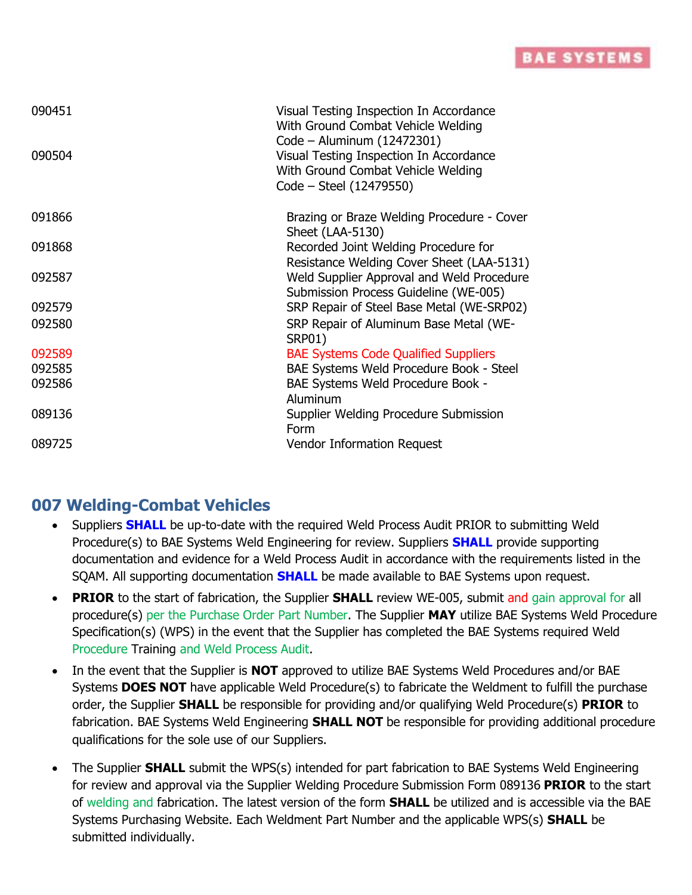## **BAE SYSTEMS**

| 090451<br>090504 | Visual Testing Inspection In Accordance<br>With Ground Combat Vehicle Welding<br>Code - Aluminum (12472301)<br>Visual Testing Inspection In Accordance<br>With Ground Combat Vehicle Welding<br>Code - Steel (12479550) |
|------------------|-------------------------------------------------------------------------------------------------------------------------------------------------------------------------------------------------------------------------|
| 091866           | Brazing or Braze Welding Procedure - Cover<br>Sheet (LAA-5130)                                                                                                                                                          |
| 091868           | Recorded Joint Welding Procedure for<br>Resistance Welding Cover Sheet (LAA-5131)                                                                                                                                       |
| 092587           | Weld Supplier Approval and Weld Procedure<br>Submission Process Guideline (WE-005)                                                                                                                                      |
| 092579           | SRP Repair of Steel Base Metal (WE-SRP02)                                                                                                                                                                               |
| 092580           | SRP Repair of Aluminum Base Metal (WE-<br><b>SRP01)</b>                                                                                                                                                                 |
| 092589           | <b>BAE Systems Code Qualified Suppliers</b>                                                                                                                                                                             |
| 092585           | BAE Systems Weld Procedure Book - Steel                                                                                                                                                                                 |
| 092586           | BAE Systems Weld Procedure Book -<br>Aluminum                                                                                                                                                                           |
| 089136           | Supplier Welding Procedure Submission<br>Form                                                                                                                                                                           |
| 089725           | <b>Vendor Information Request</b>                                                                                                                                                                                       |

## **007 Welding-Combat Vehicles**

- Suppliers **SHALL** be up-to-date with the required Weld Process Audit PRIOR to submitting Weld Procedure(s) to BAE Systems Weld Engineering for review. Suppliers **SHALL** provide supporting documentation and evidence for a Weld Process Audit in accordance with the requirements listed in the SQAM. All supporting documentation **SHALL** be made available to BAE Systems upon request.
- **PRIOR** to the start of fabrication, the Supplier **SHALL** review WE-005, submit and gain approval for all procedure(s) per the Purchase Order Part Number. The Supplier **MAY** utilize BAE Systems Weld Procedure Specification(s) (WPS) in the event that the Supplier has completed the BAE Systems required Weld Procedure Training and Weld Process Audit.
- In the event that the Supplier is **NOT** approved to utilize BAE Systems Weld Procedures and/or BAE Systems **DOES NOT** have applicable Weld Procedure(s) to fabricate the Weldment to fulfill the purchase order, the Supplier **SHALL** be responsible for providing and/or qualifying Weld Procedure(s) **PRIOR** to fabrication. BAE Systems Weld Engineering **SHALL NOT** be responsible for providing additional procedure qualifications for the sole use of our Suppliers.
- The Supplier **SHALL** submit the WPS(s) intended for part fabrication to BAE Systems Weld Engineering for review and approval via the Supplier Welding Procedure Submission Form 089136 **PRIOR** to the start of welding and fabrication. The latest version of the form **SHALL** be utilized and is accessible via the BAE Systems Purchasing Website. Each Weldment Part Number and the applicable WPS(s) **SHALL** be submitted individually.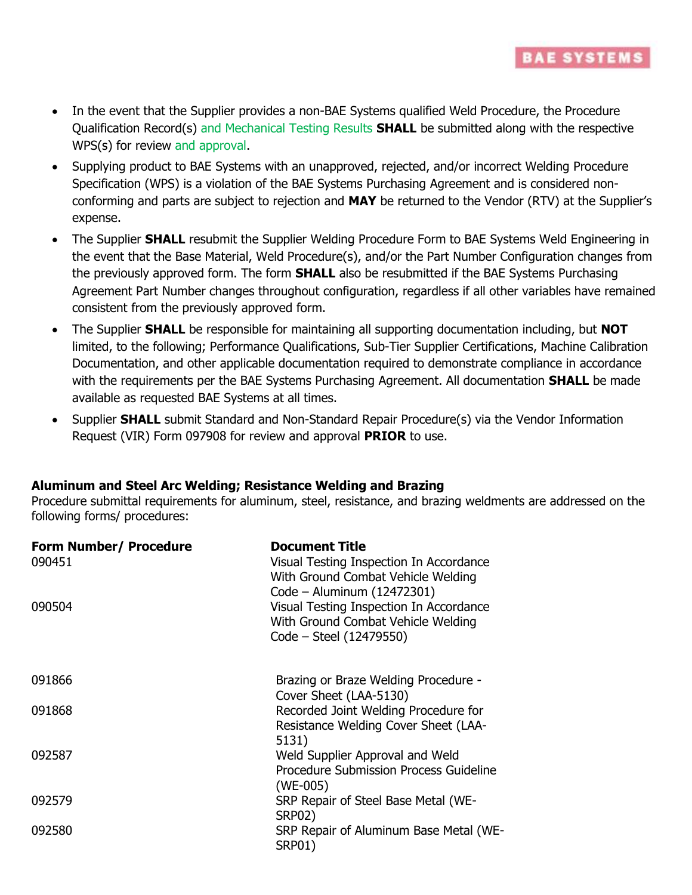

**BAE SYSTEMS** 

- Supplying product to BAE Systems with an unapproved, rejected, and/or incorrect Welding Procedure Specification (WPS) is a violation of the BAE Systems Purchasing Agreement and is considered nonconforming and parts are subject to rejection and **MAY** be returned to the Vendor (RTV) at the Supplier's expense.
- The Supplier **SHALL** resubmit the Supplier Welding Procedure Form to BAE Systems Weld Engineering in the event that the Base Material, Weld Procedure(s), and/or the Part Number Configuration changes from the previously approved form. The form **SHALL** also be resubmitted if the BAE Systems Purchasing Agreement Part Number changes throughout configuration, regardless if all other variables have remained consistent from the previously approved form.
- The Supplier **SHALL** be responsible for maintaining all supporting documentation including, but **NOT** limited, to the following; Performance Qualifications, Sub-Tier Supplier Certifications, Machine Calibration Documentation, and other applicable documentation required to demonstrate compliance in accordance with the requirements per the BAE Systems Purchasing Agreement. All documentation **SHALL** be made available as requested BAE Systems at all times.
- Supplier **SHALL** submit Standard and Non-Standard Repair Procedure(s) via the Vendor Information Request (VIR) Form 097908 for review and approval **PRIOR** to use.

#### **Aluminum and Steel Arc Welding; Resistance Welding and Brazing**

Procedure submittal requirements for aluminum, steel, resistance, and brazing weldments are addressed on the following forms/ procedures:

| Form Number/ Procedure<br>090451 | <b>Document Title</b><br>Visual Testing Inspection In Accordance<br>With Ground Combat Vehicle Welding<br>Code - Aluminum (12472301) |
|----------------------------------|--------------------------------------------------------------------------------------------------------------------------------------|
| 090504                           | Visual Testing Inspection In Accordance<br>With Ground Combat Vehicle Welding<br>Code – Steel (12479550)                             |
| 091866                           | Brazing or Braze Welding Procedure -<br>Cover Sheet (LAA-5130)                                                                       |
| 091868                           | Recorded Joint Welding Procedure for<br>Resistance Welding Cover Sheet (LAA-<br>5131)                                                |
| 092587                           | Weld Supplier Approval and Weld<br>Procedure Submission Process Guideline<br>(WE-005)                                                |
| 092579                           | SRP Repair of Steel Base Metal (WE-<br><b>SRP02)</b>                                                                                 |
| 092580                           | SRP Repair of Aluminum Base Metal (WE-<br><b>SRP01)</b>                                                                              |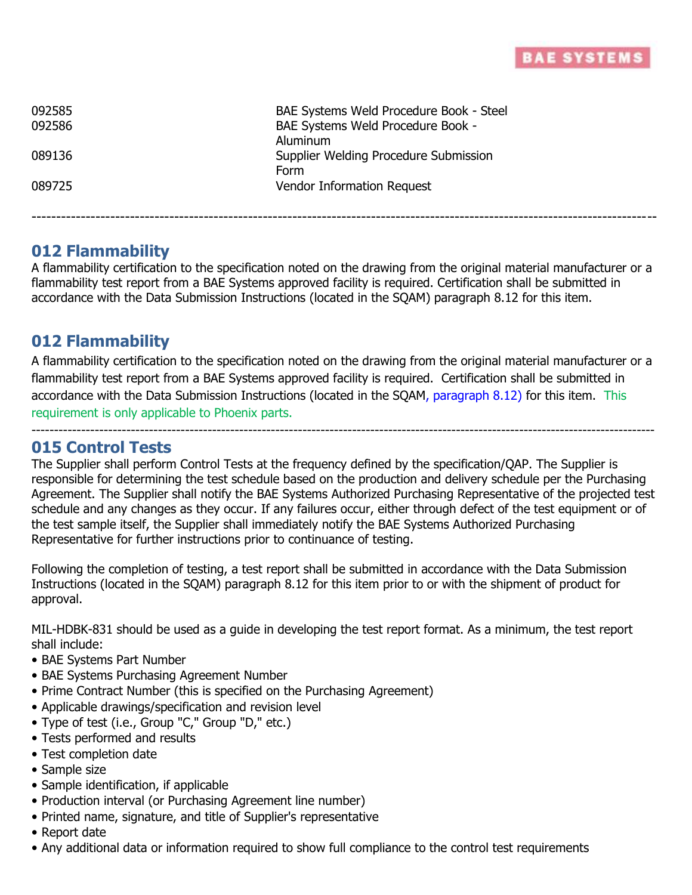

| 092585 | BAE Systems Weld Procedure Book - Steel |
|--------|-----------------------------------------|
| 092586 | BAE Systems Weld Procedure Book -       |
|        | Aluminum                                |
| 089136 | Supplier Welding Procedure Submission   |
|        | Form                                    |
| 089725 | Vendor Information Request              |
|        |                                         |

## **012 Flammability**

A flammability certification to the specification noted on the drawing from the original material manufacturer or a flammability test report from a BAE Systems approved facility is required. Certification shall be submitted in accordance with the Data Submission Instructions (located in the SQAM) paragraph 8.12 for this item.

-------------------------------------------------------------------------------------------------------------------------------

## **012 Flammability**

A flammability certification to the specification noted on the drawing from the original material manufacturer or a flammability test report from a BAE Systems approved facility is required. Certification shall be submitted in accordance with the Data Submission Instructions (located in the SQAM, paragraph 8.12) for this item. This requirement is only applicable to Phoenix parts.

------------------------------------------------------------------------------------------------------------------------------------------

### **015 Control Tests**

The Supplier shall perform Control Tests at the frequency defined by the specification/QAP. The Supplier is responsible for determining the test schedule based on the production and delivery schedule per the Purchasing Agreement. The Supplier shall notify the BAE Systems Authorized Purchasing Representative of the projected test schedule and any changes as they occur. If any failures occur, either through defect of the test equipment or of the test sample itself, the Supplier shall immediately notify the BAE Systems Authorized Purchasing Representative for further instructions prior to continuance of testing.

Following the completion of testing, a test report shall be submitted in accordance with the Data Submission Instructions (located in the SQAM) paragraph 8.12 for this item prior to or with the shipment of product for approval.

MIL-HDBK-831 should be used as a guide in developing the test report format. As a minimum, the test report shall include:

- BAE Systems Part Number
- BAE Systems Purchasing Agreement Number
- Prime Contract Number (this is specified on the Purchasing Agreement)
- Applicable drawings/specification and revision level
- Type of test (i.e., Group "C," Group "D," etc.)
- Tests performed and results
- Test completion date
- Sample size
- Sample identification, if applicable
- Production interval (or Purchasing Agreement line number)
- Printed name, signature, and title of Supplier's representative
- Report date
- Any additional data or information required to show full compliance to the control test requirements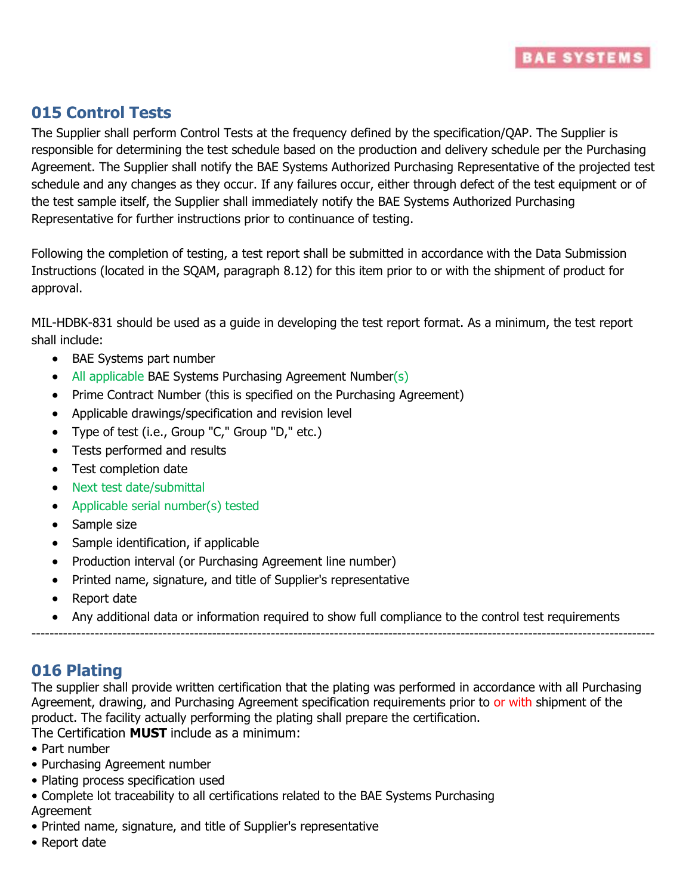

## **015 Control Tests**

The Supplier shall perform Control Tests at the frequency defined by the specification/QAP. The Supplier is responsible for determining the test schedule based on the production and delivery schedule per the Purchasing Agreement. The Supplier shall notify the BAE Systems Authorized Purchasing Representative of the projected test schedule and any changes as they occur. If any failures occur, either through defect of the test equipment or of the test sample itself, the Supplier shall immediately notify the BAE Systems Authorized Purchasing Representative for further instructions prior to continuance of testing.

Following the completion of testing, a test report shall be submitted in accordance with the Data Submission Instructions (located in the SQAM, paragraph 8.12) for this item prior to or with the shipment of product for approval.

MIL-HDBK-831 should be used as a guide in developing the test report format. As a minimum, the test report shall include:

- BAE Systems part number
- All applicable BAE Systems Purchasing Agreement Number(s)
- Prime Contract Number (this is specified on the Purchasing Agreement)
- Applicable drawings/specification and revision level
- Type of test (i.e., Group "C," Group "D," etc.)
- Tests performed and results
- Test completion date
- Next test date/submittal
- Applicable serial number(s) tested
- Sample size
- Sample identification, if applicable
- Production interval (or Purchasing Agreement line number)
- Printed name, signature, and title of Supplier's representative
- Report date
- Any additional data or information required to show full compliance to the control test requirements

------------------------------------------------------------------------------------------------------------------------------------------

## **016 Plating**

The supplier shall provide written certification that the plating was performed in accordance with all Purchasing Agreement, drawing, and Purchasing Agreement specification requirements prior to or with shipment of the product. The facility actually performing the plating shall prepare the certification.

The Certification **MUST** include as a minimum:

- Part number
- Purchasing Agreement number
- Plating process specification used
- Complete lot traceability to all certifications related to the BAE Systems Purchasing Agreement
- Printed name, signature, and title of Supplier's representative
- Report date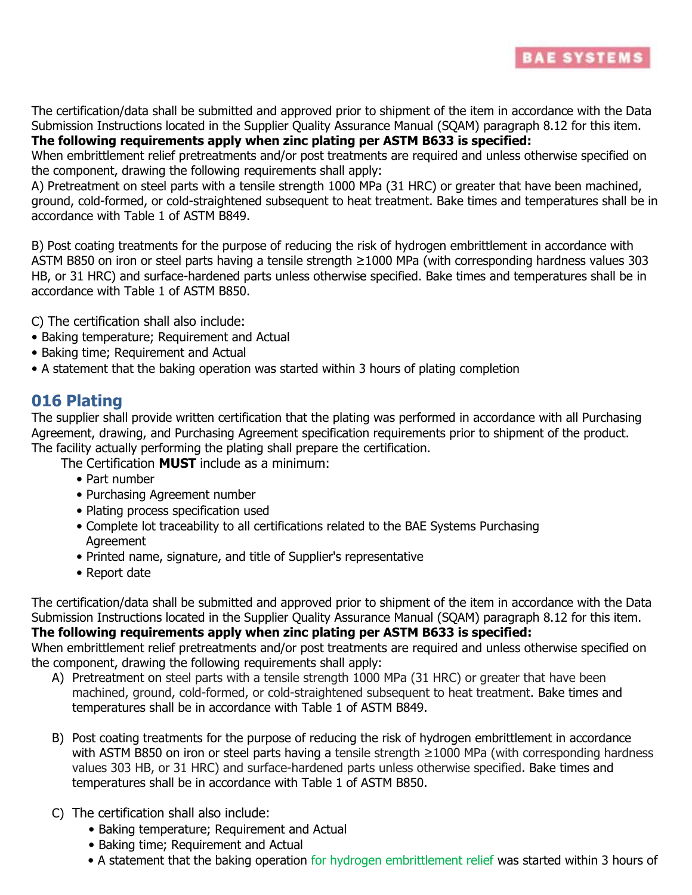

The certification/data shall be submitted and approved prior to shipment of the item in accordance with the Data Submission Instructions located in the Supplier Quality Assurance Manual (SQAM) paragraph 8.12 for this item. **The following requirements apply when zinc plating per ASTM B633 is specified:** 

When embrittlement relief pretreatments and/or post treatments are required and unless otherwise specified on the component, drawing the following requirements shall apply:

A) Pretreatment on steel parts with a tensile strength 1000 MPa (31 HRC) or greater that have been machined, ground, cold-formed, or cold-straightened subsequent to heat treatment. Bake times and temperatures shall be in accordance with Table 1 of ASTM B849.

B) Post coating treatments for the purpose of reducing the risk of hydrogen embrittlement in accordance with ASTM B850 on iron or steel parts having a tensile strength ≥1000 MPa (with corresponding hardness values 303 HB, or 31 HRC) and surface-hardened parts unless otherwise specified. Bake times and temperatures shall be in accordance with Table 1 of ASTM B850.

C) The certification shall also include:

- Baking temperature; Requirement and Actual
- Baking time; Requirement and Actual
- A statement that the baking operation was started within 3 hours of plating completion

## **016 Plating**

The supplier shall provide written certification that the plating was performed in accordance with all Purchasing Agreement, drawing, and Purchasing Agreement specification requirements prior to shipment of the product. The facility actually performing the plating shall prepare the certification.

The Certification **MUST** include as a minimum:

- Part number
- Purchasing Agreement number
- Plating process specification used
- Complete lot traceability to all certifications related to the BAE Systems Purchasing Agreement
- Printed name, signature, and title of Supplier's representative
- Report date

The certification/data shall be submitted and approved prior to shipment of the item in accordance with the Data Submission Instructions located in the Supplier Quality Assurance Manual (SQAM) paragraph 8.12 for this item. **The following requirements apply when zinc plating per ASTM B633 is specified:**

When embrittlement relief pretreatments and/or post treatments are required and unless otherwise specified on the component, drawing the following requirements shall apply:

- A) Pretreatment on steel parts with a tensile strength 1000 MPa (31 HRC) or greater that have been machined, ground, cold-formed, or cold-straightened subsequent to heat treatment. Bake times and temperatures shall be in accordance with Table 1 of ASTM B849.
- B) Post coating treatments for the purpose of reducing the risk of hydrogen embrittlement in accordance with ASTM B850 on iron or steel parts having a tensile strength ≥1000 MPa (with corresponding hardness values 303 HB, or 31 HRC) and surface-hardened parts unless otherwise specified. Bake times and temperatures shall be in accordance with Table 1 of ASTM B850.
- C) The certification shall also include:
	- Baking temperature; Requirement and Actual
	- Baking time; Requirement and Actual
	- A statement that the baking operation for hydrogen embrittlement relief was started within 3 hours of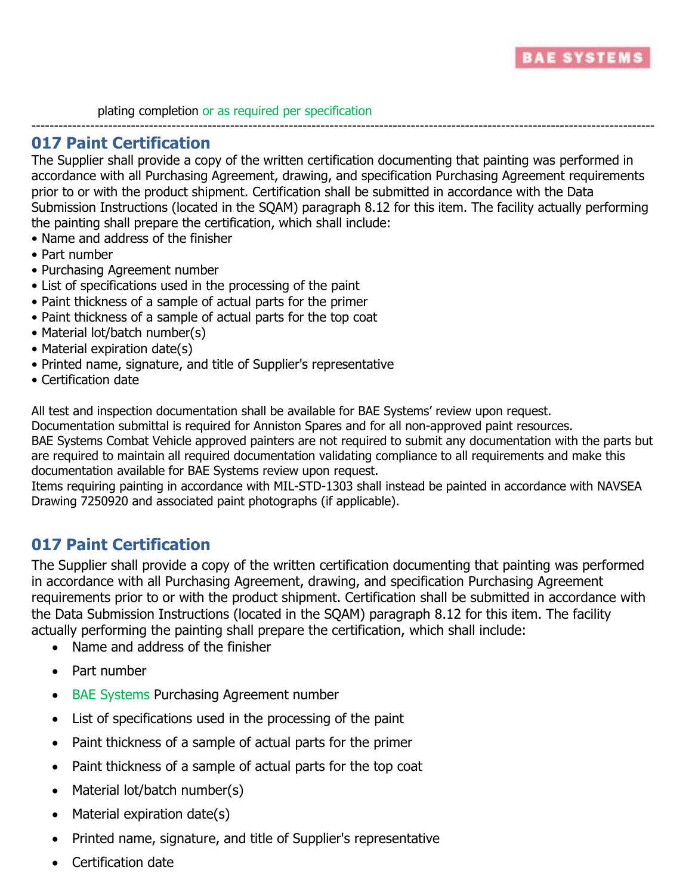

plating completion or as required per specification

### **017 Paint Certification**

The Supplier shall provide a copy of the written certification documenting that painting was performed in accordance with all Purchasing Agreement, drawing, and specification Purchasing Agreement requirements prior to or with the product shipment. Certification shall be submitted in accordance with the Data Submission Instructions (located in the SQAM) paragraph 8.12 for this item. The facility actually performing the painting shall prepare the certification, which shall include:

------------------------------------------------------------------------------------------------------------------------------------------

- Name and address of the finisher
- Part number
- Purchasing Agreement number
- List of specifications used in the processing of the paint
- Paint thickness of a sample of actual parts for the primer
- Paint thickness of a sample of actual parts for the top coat
- Material lot/batch number(s)
- Material expiration date(s)
- Printed name, signature, and title of Supplier's representative
- Certification date

All test and inspection documentation shall be available for BAE Systems' review upon request.

Documentation submittal is required for Anniston Spares and for all non-approved paint resources.

BAE Systems Combat Vehicle approved painters are not required to submit any documentation with the parts but are required to maintain all required documentation validating compliance to all requirements and make this documentation available for BAE Systems review upon request.

Items requiring painting in accordance with MIL-STD-1303 shall instead be painted in accordance with NAVSEA Drawing 7250920 and associated paint photographs (if applicable).

## **017 Paint Certification**

The Supplier shall provide a copy of the written certification documenting that painting was performed in accordance with all Purchasing Agreement, drawing, and specification Purchasing Agreement requirements prior to or with the product shipment. Certification shall be submitted in accordance with the Data Submission Instructions (located in the SQAM) paragraph 8.12 for this item. The facility actually performing the painting shall prepare the certification, which shall include:

- Name and address of the finisher
- Part number
- BAE Systems Purchasing Agreement number
- List of specifications used in the processing of the paint
- Paint thickness of a sample of actual parts for the primer
- Paint thickness of a sample of actual parts for the top coat
- Material lot/batch number(s)
- Material expiration date(s)
- Printed name, signature, and title of Supplier's representative
- Certification date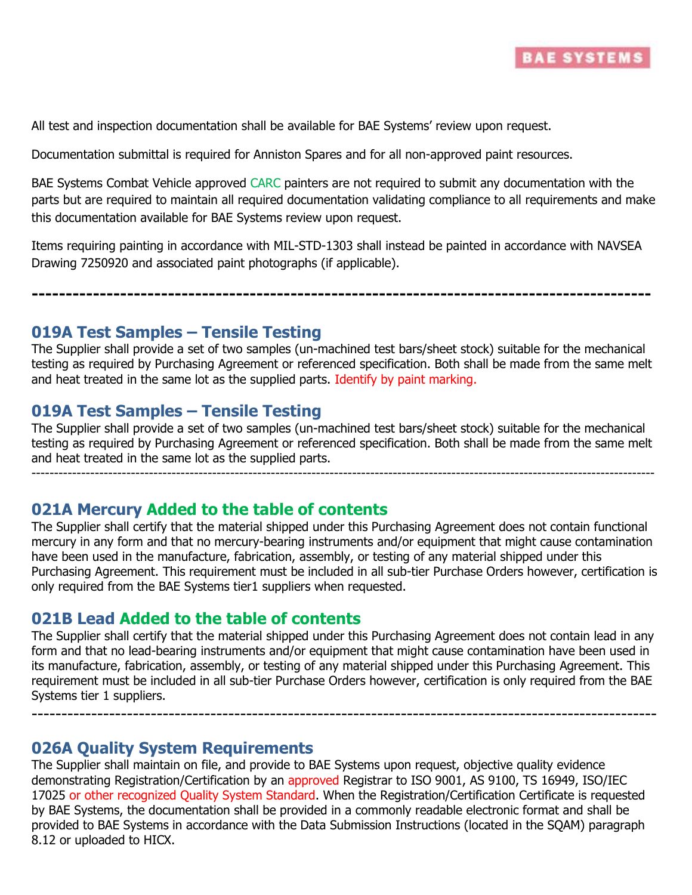

All test and inspection documentation shall be available for BAE Systems' review upon request.

Documentation submittal is required for Anniston Spares and for all non-approved paint resources.

BAE Systems Combat Vehicle approved CARC painters are not required to submit any documentation with the parts but are required to maintain all required documentation validating compliance to all requirements and make this documentation available for BAE Systems review upon request.

Items requiring painting in accordance with MIL-STD-1303 shall instead be painted in accordance with NAVSEA Drawing 7250920 and associated paint photographs (if applicable).

**-------------------------------------------------------------------------------------------**

### **019A Test Samples – Tensile Testing**

The Supplier shall provide a set of two samples (un-machined test bars/sheet stock) suitable for the mechanical testing as required by Purchasing Agreement or referenced specification. Both shall be made from the same melt and heat treated in the same lot as the supplied parts. Identify by paint marking.

### **019A Test Samples – Tensile Testing**

The Supplier shall provide a set of two samples (un-machined test bars/sheet stock) suitable for the mechanical testing as required by Purchasing Agreement or referenced specification. Both shall be made from the same melt and heat treated in the same lot as the supplied parts.

------------------------------------------------------------------------------------------------------------------------------------------

### **021A Mercury Added to the table of contents**

The Supplier shall certify that the material shipped under this Purchasing Agreement does not contain functional mercury in any form and that no mercury-bearing instruments and/or equipment that might cause contamination have been used in the manufacture, fabrication, assembly, or testing of any material shipped under this Purchasing Agreement. This requirement must be included in all sub-tier Purchase Orders however, certification is only required from the BAE Systems tier1 suppliers when requested.

#### **021B Lead Added to the table of contents**

The Supplier shall certify that the material shipped under this Purchasing Agreement does not contain lead in any form and that no lead-bearing instruments and/or equipment that might cause contamination have been used in its manufacture, fabrication, assembly, or testing of any material shipped under this Purchasing Agreement. This requirement must be included in all sub-tier Purchase Orders however, certification is only required from the BAE Systems tier 1 suppliers.

---------------------------------------------------------------------------------------------------------

#### **026A Quality System Requirements**

The Supplier shall maintain on file, and provide to BAE Systems upon request, objective quality evidence demonstrating Registration/Certification by an approved Registrar to ISO 9001, AS 9100, TS 16949, ISO/IEC 17025 or other recognized Quality System Standard. When the Registration/Certification Certificate is requested by BAE Systems, the documentation shall be provided in a commonly readable electronic format and shall be provided to BAE Systems in accordance with the Data Submission Instructions (located in the SQAM) paragraph 8.12 or uploaded to HICX.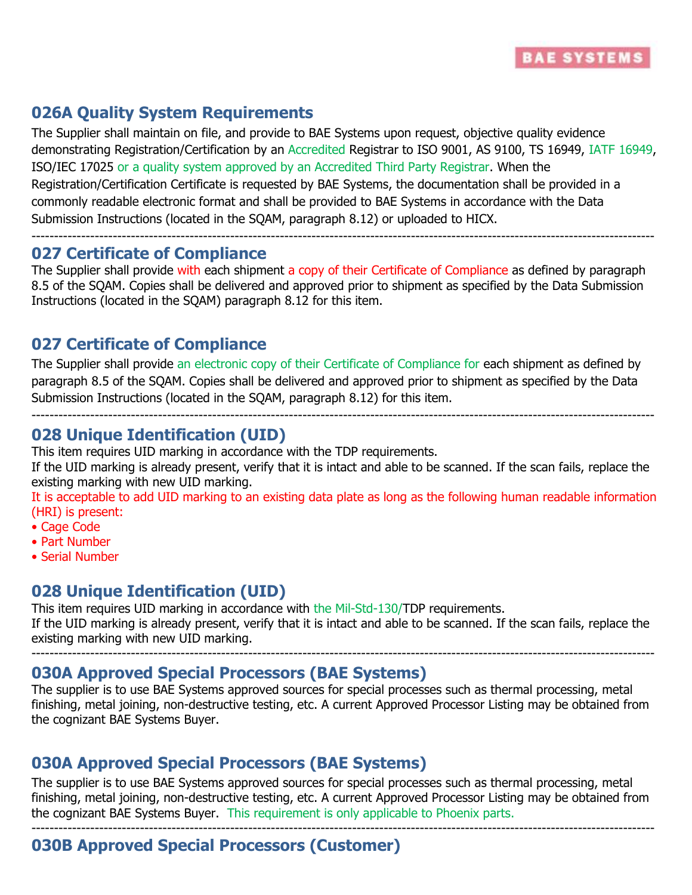

## **026A Quality System Requirements**

The Supplier shall maintain on file, and provide to BAE Systems upon request, objective quality evidence demonstrating Registration/Certification by an Accredited Registrar to ISO 9001, AS 9100, TS 16949, IATF 16949, ISO/IEC 17025 or a quality system approved by an Accredited Third Party Registrar. When the Registration/Certification Certificate is requested by BAE Systems, the documentation shall be provided in a commonly readable electronic format and shall be provided to BAE Systems in accordance with the Data Submission Instructions (located in the SQAM, paragraph 8.12) or uploaded to HICX.

#### ------------------------------------------------------------------------------------------------------------------------------------------ **027 Certificate of Compliance**

The Supplier shall provide with each shipment a copy of their Certificate of Compliance as defined by paragraph 8.5 of the SQAM. Copies shall be delivered and approved prior to shipment as specified by the Data Submission Instructions (located in the SQAM) paragraph 8.12 for this item.

## **027 Certificate of Compliance**

The Supplier shall provide an electronic copy of their Certificate of Compliance for each shipment as defined by paragraph 8.5 of the SQAM. Copies shall be delivered and approved prior to shipment as specified by the Data Submission Instructions (located in the SQAM, paragraph 8.12) for this item.

------------------------------------------------------------------------------------------------------------------------------------------

## **028 Unique Identification (UID)**

This item requires UID marking in accordance with the TDP requirements.

If the UID marking is already present, verify that it is intact and able to be scanned. If the scan fails, replace the existing marking with new UID marking.

It is acceptable to add UID marking to an existing data plate as long as the following human readable information (HRI) is present:

- Cage Code
- Part Number
- Serial Number

## **028 Unique Identification (UID)**

This item requires UID marking in accordance with the Mil-Std-130/TDP requirements. If the UID marking is already present, verify that it is intact and able to be scanned. If the scan fails, replace the existing marking with new UID marking.

------------------------------------------------------------------------------------------------------------------------------------------

## **030A Approved Special Processors (BAE Systems)**

The supplier is to use BAE Systems approved sources for special processes such as thermal processing, metal finishing, metal joining, non-destructive testing, etc. A current Approved Processor Listing may be obtained from the cognizant BAE Systems Buyer.

## **030A Approved Special Processors (BAE Systems)**

The supplier is to use BAE Systems approved sources for special processes such as thermal processing, metal finishing, metal joining, non-destructive testing, etc. A current Approved Processor Listing may be obtained from the cognizant BAE Systems Buyer. This requirement is only applicable to Phoenix parts.

------------------------------------------------------------------------------------------------------------------------------------------

# **030B Approved Special Processors (Customer)**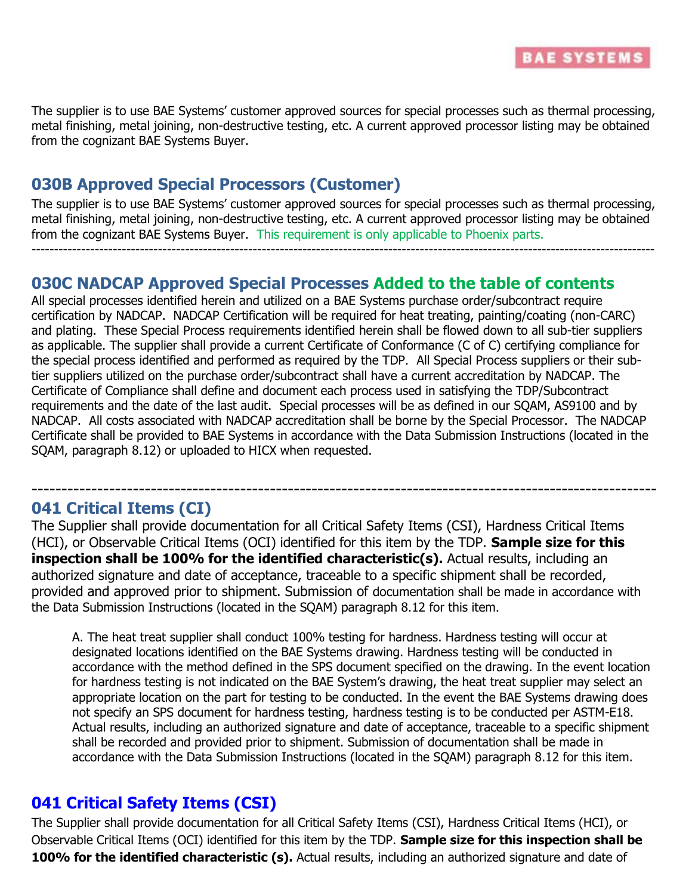

The supplier is to use BAE Systems' customer approved sources for special processes such as thermal processing, metal finishing, metal joining, non-destructive testing, etc. A current approved processor listing may be obtained from the cognizant BAE Systems Buyer.

## **030B Approved Special Processors (Customer)**

The supplier is to use BAE Systems' customer approved sources for special processes such as thermal processing, metal finishing, metal joining, non-destructive testing, etc. A current approved processor listing may be obtained from the cognizant BAE Systems Buyer. This requirement is only applicable to Phoenix parts. ------------------------------------------------------------------------------------------------------------------------------------------

### **030C NADCAP Approved Special Processes Added to the table of contents**

All special processes identified herein and utilized on a BAE Systems purchase order/subcontract require certification by NADCAP. NADCAP Certification will be required for heat treating, painting/coating (non-CARC) and plating. These Special Process requirements identified herein shall be flowed down to all sub-tier suppliers as applicable. The supplier shall provide a current Certificate of Conformance (C of C) certifying compliance for the special process identified and performed as required by the TDP. All Special Process suppliers or their subtier suppliers utilized on the purchase order/subcontract shall have a current accreditation by NADCAP. The Certificate of Compliance shall define and document each process used in satisfying the TDP/Subcontract requirements and the date of the last audit. Special processes will be as defined in our SQAM, AS9100 and by NADCAP. All costs associated with NADCAP accreditation shall be borne by the Special Processor. The NADCAP Certificate shall be provided to BAE Systems in accordance with the Data Submission Instructions (located in the SQAM, paragraph 8.12) or uploaded to HICX when requested.

### **041 Critical Items (CI)**

The Supplier shall provide documentation for all Critical Safety Items (CSI), Hardness Critical Items (HCI), or Observable Critical Items (OCI) identified for this item by the TDP. **Sample size for this inspection shall be 100% for the identified characteristic(s).** Actual results, including an authorized signature and date of acceptance, traceable to a specific shipment shall be recorded, provided and approved prior to shipment. Submission of documentation shall be made in accordance with the Data Submission Instructions (located in the SQAM) paragraph 8.12 for this item.

---------------------------------------------------------------------------------------------------------

A. The heat treat supplier shall conduct 100% testing for hardness. Hardness testing will occur at designated locations identified on the BAE Systems drawing. Hardness testing will be conducted in accordance with the method defined in the SPS document specified on the drawing. In the event location for hardness testing is not indicated on the BAE System's drawing, the heat treat supplier may select an appropriate location on the part for testing to be conducted. In the event the BAE Systems drawing does not specify an SPS document for hardness testing, hardness testing is to be conducted per ASTM-E18. Actual results, including an authorized signature and date of acceptance, traceable to a specific shipment shall be recorded and provided prior to shipment. Submission of documentation shall be made in accordance with the Data Submission Instructions (located in the SQAM) paragraph 8.12 for this item.

## **041 Critical Safety Items (CSI)**

The Supplier shall provide documentation for all Critical Safety Items (CSI), Hardness Critical Items (HCI), or Observable Critical Items (OCI) identified for this item by the TDP. **Sample size for this inspection shall be 100% for the identified characteristic (s).** Actual results, including an authorized signature and date of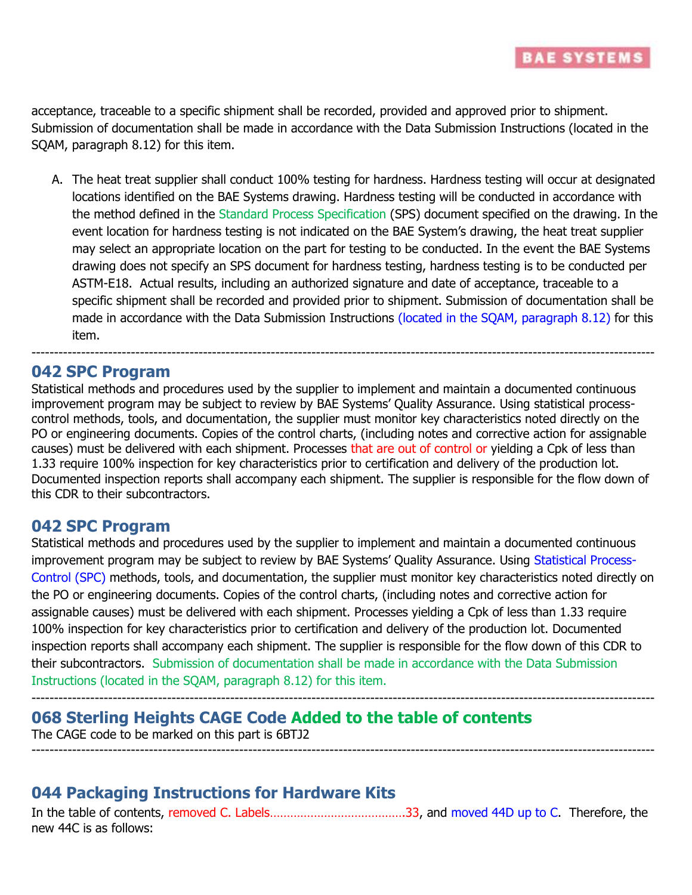acceptance, traceable to a specific shipment shall be recorded, provided and approved prior to shipment. Submission of documentation shall be made in accordance with the Data Submission Instructions (located in the SQAM, paragraph 8.12) for this item.

A. The heat treat supplier shall conduct 100% testing for hardness. Hardness testing will occur at designated locations identified on the BAE Systems drawing. Hardness testing will be conducted in accordance with the method defined in the Standard Process Specification (SPS) document specified on the drawing. In the event location for hardness testing is not indicated on the BAE System's drawing, the heat treat supplier may select an appropriate location on the part for testing to be conducted. In the event the BAE Systems drawing does not specify an SPS document for hardness testing, hardness testing is to be conducted per ASTM-E18. Actual results, including an authorized signature and date of acceptance, traceable to a specific shipment shall be recorded and provided prior to shipment. Submission of documentation shall be made in accordance with the Data Submission Instructions (located in the SQAM, paragraph 8.12) for this item.

### **042 SPC Program**

Statistical methods and procedures used by the supplier to implement and maintain a documented continuous improvement program may be subject to review by BAE Systems' Quality Assurance. Using statistical processcontrol methods, tools, and documentation, the supplier must monitor key characteristics noted directly on the PO or engineering documents. Copies of the control charts, (including notes and corrective action for assignable causes) must be delivered with each shipment. Processes that are out of control or yielding a Cpk of less than 1.33 require 100% inspection for key characteristics prior to certification and delivery of the production lot. Documented inspection reports shall accompany each shipment. The supplier is responsible for the flow down of this CDR to their subcontractors.

------------------------------------------------------------------------------------------------------------------------------------------

#### **042 SPC Program**

Statistical methods and procedures used by the supplier to implement and maintain a documented continuous improvement program may be subject to review by BAE Systems' Quality Assurance. Using Statistical Process-Control (SPC) methods, tools, and documentation, the supplier must monitor key characteristics noted directly on the PO or engineering documents. Copies of the control charts, (including notes and corrective action for assignable causes) must be delivered with each shipment. Processes yielding a Cpk of less than 1.33 require 100% inspection for key characteristics prior to certification and delivery of the production lot. Documented inspection reports shall accompany each shipment. The supplier is responsible for the flow down of this CDR to their subcontractors. Submission of documentation shall be made in accordance with the Data Submission Instructions (located in the SQAM, paragraph 8.12) for this item.

------------------------------------------------------------------------------------------------------------------------------------------

------------------------------------------------------------------------------------------------------------------------------------------

## **068 Sterling Heights CAGE Code Added to the table of contents**

The CAGE code to be marked on this part is 6BTJ2

### **044 Packaging Instructions for Hardware Kits**

In the table of contents, removed C. Labels………………………………….33, and moved 44D up to C. Therefore, the new 44C is as follows: